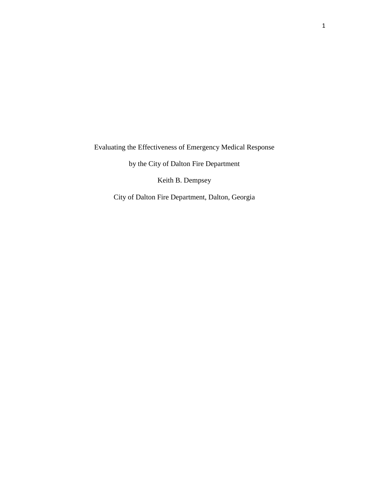Evaluating the Effectiveness of Emergency Medical Response

by the City of Dalton Fire Department

Keith B. Dempsey

City of Dalton Fire Department, Dalton, Georgia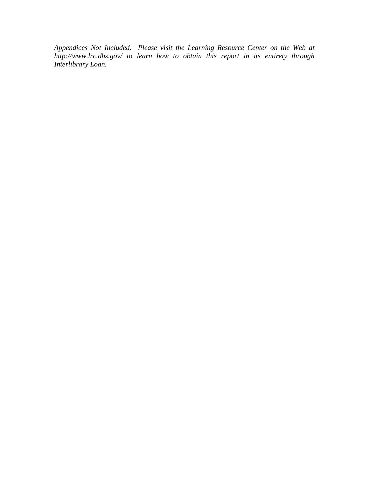*Appendices Not Included. Please visit the Learning Resource Center on the Web at http://www.lrc.dhs.gov/ to learn how to obtain this report in its entirety through Interlibrary Loan.*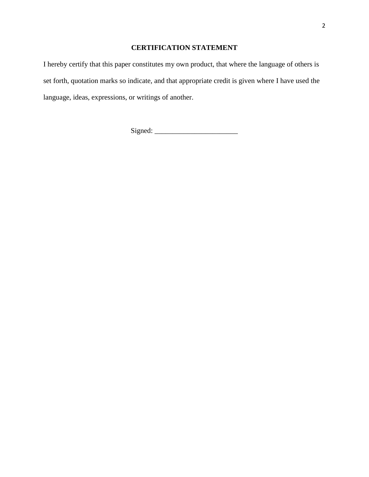# **CERTIFICATION STATEMENT**

I hereby certify that this paper constitutes my own product, that where the language of others is set forth, quotation marks so indicate, and that appropriate credit is given where I have used the language, ideas, expressions, or writings of another.

Signed: \_\_\_\_\_\_\_\_\_\_\_\_\_\_\_\_\_\_\_\_\_\_\_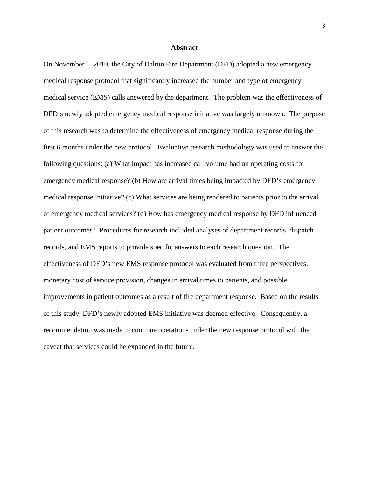# **Abstract**

On November 1, 2010, the City of Dalton Fire Department (DFD) adopted a new emergency medical response protocol that significantly increased the number and type of emergency medical service (EMS) calls answered by the department. The problem was the effectiveness of DFD's newly adopted emergency medical response initiative was largely unknown. The purpose of this research was to determine the effectiveness of emergency medical response during the first 6 months under the new protocol. Evaluative research methodology was used to answer the following questions: (a) What impact has increased call volume had on operating costs for emergency medical response? (b) How are arrival times being impacted by DFD's emergency medical response initiative? (c) What services are being rendered to patients prior to the arrival of emergency medical services? (d) How has emergency medical response by DFD influenced patient outcomes? Procedures for research included analyses of department records, dispatch records, and EMS reports to provide specific answers to each research question. The effectiveness of DFD's new EMS response protocol was evaluated from three perspectives: monetary cost of service provision, changes in arrival times to patients, and possible improvements in patient outcomes as a result of fire department response. Based on the results of this study, DFD's newly adopted EMS initiative was deemed effective. Consequently, a recommendation was made to continue operations under the new response protocol with the caveat that services could be expanded in the future.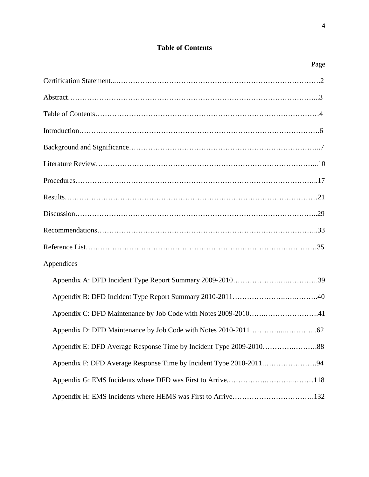# **Table of Contents**

Page

| Appendices |
|------------|
|            |
|            |
|            |
|            |
|            |
|            |
|            |
|            |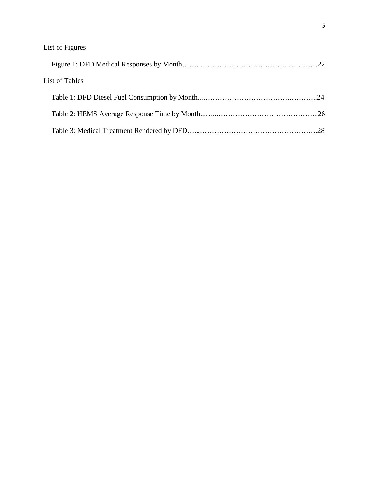| List of Tables |  |
|----------------|--|
|                |  |
|                |  |
|                |  |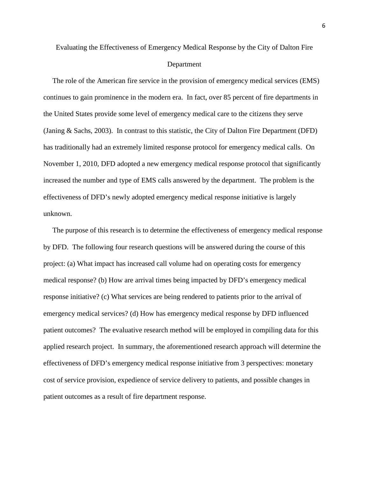# Department

 The role of the American fire service in the provision of emergency medical services (EMS) continues to gain prominence in the modern era. In fact, over 85 percent of fire departments in the United States provide some level of emergency medical care to the citizens they serve (Janing & Sachs, 2003). In contrast to this statistic, the City of Dalton Fire Department (DFD) has traditionally had an extremely limited response protocol for emergency medical calls. On November 1, 2010, DFD adopted a new emergency medical response protocol that significantly increased the number and type of EMS calls answered by the department. The problem is the effectiveness of DFD's newly adopted emergency medical response initiative is largely unknown.

 The purpose of this research is to determine the effectiveness of emergency medical response by DFD. The following four research questions will be answered during the course of this project: (a) What impact has increased call volume had on operating costs for emergency medical response? (b) How are arrival times being impacted by DFD's emergency medical response initiative? (c) What services are being rendered to patients prior to the arrival of emergency medical services? (d) How has emergency medical response by DFD influenced patient outcomes? The evaluative research method will be employed in compiling data for this applied research project. In summary, the aforementioned research approach will determine the effectiveness of DFD's emergency medical response initiative from 3 perspectives: monetary cost of service provision, expedience of service delivery to patients, and possible changes in patient outcomes as a result of fire department response.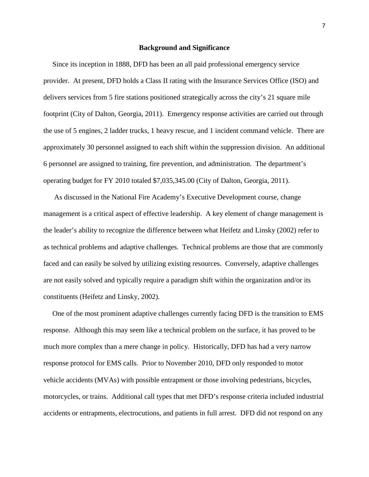#### **Background and Significance**

 Since its inception in 1888, DFD has been an all paid professional emergency service provider. At present, DFD holds a Class II rating with the Insurance Services Office (ISO) and delivers services from 5 fire stations positioned strategically across the city's 21 square mile footprint (City of Dalton, Georgia, 2011). Emergency response activities are carried out through the use of 5 engines, 2 ladder trucks, 1 heavy rescue, and 1 incident command vehicle. There are approximately 30 personnel assigned to each shift within the suppression division. An additional 6 personnel are assigned to training, fire prevention, and administration. The department's operating budget for FY 2010 totaled \$7,035,345.00 (City of Dalton, Georgia, 2011).

 As discussed in the National Fire Academy's Executive Development course, change management is a critical aspect of effective leadership. A key element of change management is the leader's ability to recognize the difference between what Heifetz and Linsky (2002) refer to as technical problems and adaptive challenges. Technical problems are those that are commonly faced and can easily be solved by utilizing existing resources. Conversely, adaptive challenges are not easily solved and typically require a paradigm shift within the organization and/or its constituents (Heifetz and Linsky, 2002).

 One of the most prominent adaptive challenges currently facing DFD is the transition to EMS response. Although this may seem like a technical problem on the surface, it has proved to be much more complex than a mere change in policy. Historically, DFD has had a very narrow response protocol for EMS calls. Prior to November 2010, DFD only responded to motor vehicle accidents (MVAs) with possible entrapment or those involving pedestrians, bicycles, motorcycles, or trains. Additional call types that met DFD's response criteria included industrial accidents or entrapments, electrocutions, and patients in full arrest. DFD did not respond on any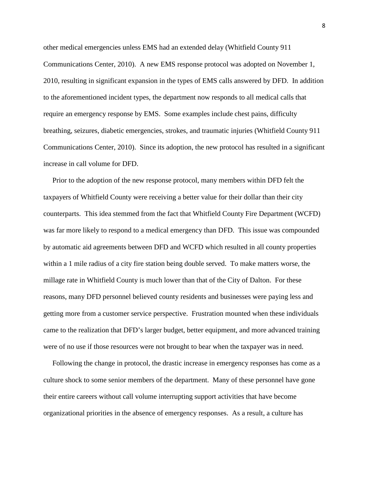other medical emergencies unless EMS had an extended delay (Whitfield County 911 Communications Center, 2010). A new EMS response protocol was adopted on November 1, 2010, resulting in significant expansion in the types of EMS calls answered by DFD. In addition to the aforementioned incident types, the department now responds to all medical calls that require an emergency response by EMS. Some examples include chest pains, difficulty breathing, seizures, diabetic emergencies, strokes, and traumatic injuries (Whitfield County 911 Communications Center, 2010). Since its adoption, the new protocol has resulted in a significant increase in call volume for DFD.

 Prior to the adoption of the new response protocol, many members within DFD felt the taxpayers of Whitfield County were receiving a better value for their dollar than their city counterparts. This idea stemmed from the fact that Whitfield County Fire Department (WCFD) was far more likely to respond to a medical emergency than DFD. This issue was compounded by automatic aid agreements between DFD and WCFD which resulted in all county properties within a 1 mile radius of a city fire station being double served. To make matters worse, the millage rate in Whitfield County is much lower than that of the City of Dalton. For these reasons, many DFD personnel believed county residents and businesses were paying less and getting more from a customer service perspective. Frustration mounted when these individuals came to the realization that DFD's larger budget, better equipment, and more advanced training were of no use if those resources were not brought to bear when the taxpayer was in need.

 Following the change in protocol, the drastic increase in emergency responses has come as a culture shock to some senior members of the department. Many of these personnel have gone their entire careers without call volume interrupting support activities that have become organizational priorities in the absence of emergency responses. As a result, a culture has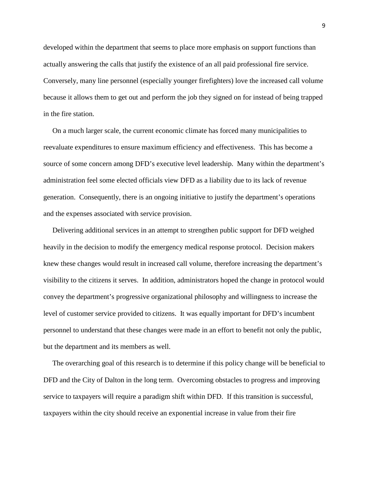developed within the department that seems to place more emphasis on support functions than actually answering the calls that justify the existence of an all paid professional fire service. Conversely, many line personnel (especially younger firefighters) love the increased call volume because it allows them to get out and perform the job they signed on for instead of being trapped in the fire station.

 On a much larger scale, the current economic climate has forced many municipalities to reevaluate expenditures to ensure maximum efficiency and effectiveness. This has become a source of some concern among DFD's executive level leadership. Many within the department's administration feel some elected officials view DFD as a liability due to its lack of revenue generation. Consequently, there is an ongoing initiative to justify the department's operations and the expenses associated with service provision.

 Delivering additional services in an attempt to strengthen public support for DFD weighed heavily in the decision to modify the emergency medical response protocol. Decision makers knew these changes would result in increased call volume, therefore increasing the department's visibility to the citizens it serves. In addition, administrators hoped the change in protocol would convey the department's progressive organizational philosophy and willingness to increase the level of customer service provided to citizens. It was equally important for DFD's incumbent personnel to understand that these changes were made in an effort to benefit not only the public, but the department and its members as well.

 The overarching goal of this research is to determine if this policy change will be beneficial to DFD and the City of Dalton in the long term. Overcoming obstacles to progress and improving service to taxpayers will require a paradigm shift within DFD. If this transition is successful, taxpayers within the city should receive an exponential increase in value from their fire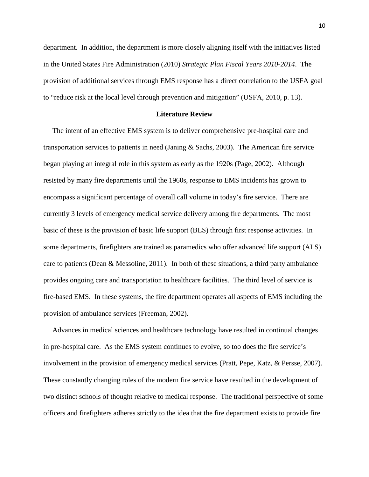department. In addition, the department is more closely aligning itself with the initiatives listed in the United States Fire Administration (2010) *Strategic Plan Fiscal Years 2010-2014*. The provision of additional services through EMS response has a direct correlation to the USFA goal to "reduce risk at the local level through prevention and mitigation" (USFA, 2010, p. 13).

### **Literature Review**

 The intent of an effective EMS system is to deliver comprehensive pre-hospital care and transportation services to patients in need (Janing & Sachs, 2003). The American fire service began playing an integral role in this system as early as the 1920s (Page, 2002). Although resisted by many fire departments until the 1960s, response to EMS incidents has grown to encompass a significant percentage of overall call volume in today's fire service. There are currently 3 levels of emergency medical service delivery among fire departments. The most basic of these is the provision of basic life support (BLS) through first response activities. In some departments, firefighters are trained as paramedics who offer advanced life support (ALS) care to patients (Dean & Messoline, 2011). In both of these situations, a third party ambulance provides ongoing care and transportation to healthcare facilities. The third level of service is fire-based EMS. In these systems, the fire department operates all aspects of EMS including the provision of ambulance services (Freeman, 2002).

 Advances in medical sciences and healthcare technology have resulted in continual changes in pre-hospital care. As the EMS system continues to evolve, so too does the fire service's involvement in the provision of emergency medical services (Pratt, Pepe, Katz, & Persse, 2007). These constantly changing roles of the modern fire service have resulted in the development of two distinct schools of thought relative to medical response. The traditional perspective of some officers and firefighters adheres strictly to the idea that the fire department exists to provide fire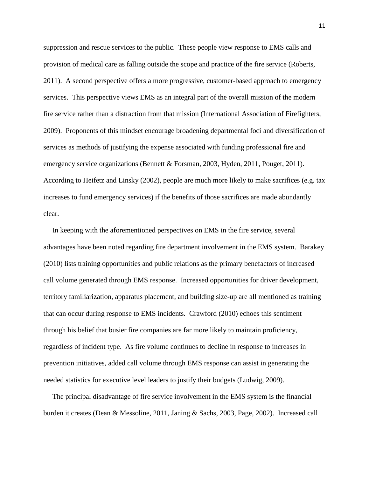suppression and rescue services to the public. These people view response to EMS calls and provision of medical care as falling outside the scope and practice of the fire service (Roberts, 2011). A second perspective offers a more progressive, customer-based approach to emergency services. This perspective views EMS as an integral part of the overall mission of the modern fire service rather than a distraction from that mission (International Association of Firefighters, 2009). Proponents of this mindset encourage broadening departmental foci and diversification of services as methods of justifying the expense associated with funding professional fire and emergency service organizations (Bennett & Forsman, 2003, Hyden, 2011, Pouget, 2011). According to Heifetz and Linsky (2002), people are much more likely to make sacrifices (e.g. tax increases to fund emergency services) if the benefits of those sacrifices are made abundantly clear.

 In keeping with the aforementioned perspectives on EMS in the fire service, several advantages have been noted regarding fire department involvement in the EMS system. Barakey (2010) lists training opportunities and public relations as the primary benefactors of increased call volume generated through EMS response. Increased opportunities for driver development, territory familiarization, apparatus placement, and building size-up are all mentioned as training that can occur during response to EMS incidents. Crawford (2010) echoes this sentiment through his belief that busier fire companies are far more likely to maintain proficiency, regardless of incident type. As fire volume continues to decline in response to increases in prevention initiatives, added call volume through EMS response can assist in generating the needed statistics for executive level leaders to justify their budgets (Ludwig, 2009).

 The principal disadvantage of fire service involvement in the EMS system is the financial burden it creates (Dean & Messoline, 2011, Janing & Sachs, 2003, Page, 2002). Increased call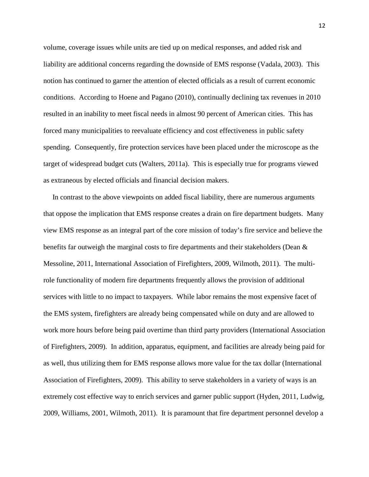volume, coverage issues while units are tied up on medical responses, and added risk and liability are additional concerns regarding the downside of EMS response (Vadala, 2003). This notion has continued to garner the attention of elected officials as a result of current economic conditions. According to Hoene and Pagano (2010), continually declining tax revenues in 2010 resulted in an inability to meet fiscal needs in almost 90 percent of American cities. This has forced many municipalities to reevaluate efficiency and cost effectiveness in public safety spending. Consequently, fire protection services have been placed under the microscope as the target of widespread budget cuts (Walters, 2011a). This is especially true for programs viewed as extraneous by elected officials and financial decision makers.

 In contrast to the above viewpoints on added fiscal liability, there are numerous arguments that oppose the implication that EMS response creates a drain on fire department budgets. Many view EMS response as an integral part of the core mission of today's fire service and believe the benefits far outweigh the marginal costs to fire departments and their stakeholders (Dean & Messoline, 2011, International Association of Firefighters, 2009, Wilmoth, 2011). The multirole functionality of modern fire departments frequently allows the provision of additional services with little to no impact to taxpayers. While labor remains the most expensive facet of the EMS system, firefighters are already being compensated while on duty and are allowed to work more hours before being paid overtime than third party providers (International Association of Firefighters, 2009). In addition, apparatus, equipment, and facilities are already being paid for as well, thus utilizing them for EMS response allows more value for the tax dollar (International Association of Firefighters, 2009). This ability to serve stakeholders in a variety of ways is an extremely cost effective way to enrich services and garner public support (Hyden, 2011, Ludwig, 2009, Williams, 2001, Wilmoth, 2011). It is paramount that fire department personnel develop a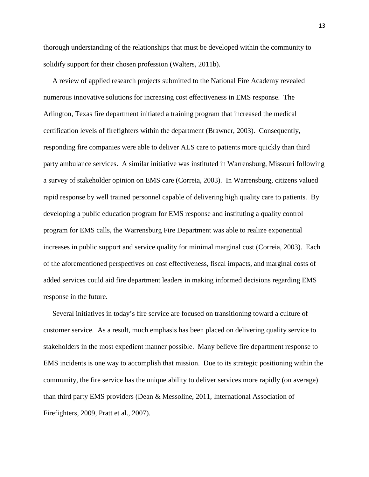thorough understanding of the relationships that must be developed within the community to solidify support for their chosen profession (Walters, 2011b).

 A review of applied research projects submitted to the National Fire Academy revealed numerous innovative solutions for increasing cost effectiveness in EMS response. The Arlington, Texas fire department initiated a training program that increased the medical certification levels of firefighters within the department (Brawner, 2003). Consequently, responding fire companies were able to deliver ALS care to patients more quickly than third party ambulance services. A similar initiative was instituted in Warrensburg, Missouri following a survey of stakeholder opinion on EMS care (Correia, 2003). In Warrensburg, citizens valued rapid response by well trained personnel capable of delivering high quality care to patients. By developing a public education program for EMS response and instituting a quality control program for EMS calls, the Warrensburg Fire Department was able to realize exponential increases in public support and service quality for minimal marginal cost (Correia, 2003). Each of the aforementioned perspectives on cost effectiveness, fiscal impacts, and marginal costs of added services could aid fire department leaders in making informed decisions regarding EMS response in the future.

 Several initiatives in today's fire service are focused on transitioning toward a culture of customer service. As a result, much emphasis has been placed on delivering quality service to stakeholders in the most expedient manner possible. Many believe fire department response to EMS incidents is one way to accomplish that mission. Due to its strategic positioning within the community, the fire service has the unique ability to deliver services more rapidly (on average) than third party EMS providers (Dean & Messoline, 2011, International Association of Firefighters, 2009, Pratt et al., 2007).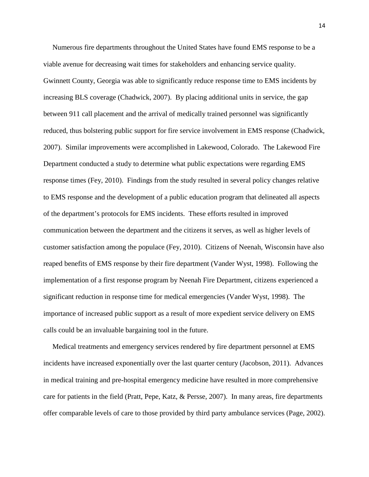Numerous fire departments throughout the United States have found EMS response to be a viable avenue for decreasing wait times for stakeholders and enhancing service quality. Gwinnett County, Georgia was able to significantly reduce response time to EMS incidents by increasing BLS coverage (Chadwick, 2007). By placing additional units in service, the gap between 911 call placement and the arrival of medically trained personnel was significantly reduced, thus bolstering public support for fire service involvement in EMS response (Chadwick, 2007). Similar improvements were accomplished in Lakewood, Colorado. The Lakewood Fire Department conducted a study to determine what public expectations were regarding EMS response times (Fey, 2010). Findings from the study resulted in several policy changes relative to EMS response and the development of a public education program that delineated all aspects of the department's protocols for EMS incidents. These efforts resulted in improved communication between the department and the citizens it serves, as well as higher levels of customer satisfaction among the populace (Fey, 2010). Citizens of Neenah, Wisconsin have also reaped benefits of EMS response by their fire department (Vander Wyst, 1998). Following the implementation of a first response program by Neenah Fire Department, citizens experienced a significant reduction in response time for medical emergencies (Vander Wyst, 1998). The importance of increased public support as a result of more expedient service delivery on EMS calls could be an invaluable bargaining tool in the future.

 Medical treatments and emergency services rendered by fire department personnel at EMS incidents have increased exponentially over the last quarter century (Jacobson, 2011). Advances in medical training and pre-hospital emergency medicine have resulted in more comprehensive care for patients in the field (Pratt, Pepe, Katz, & Persse, 2007). In many areas, fire departments offer comparable levels of care to those provided by third party ambulance services (Page, 2002).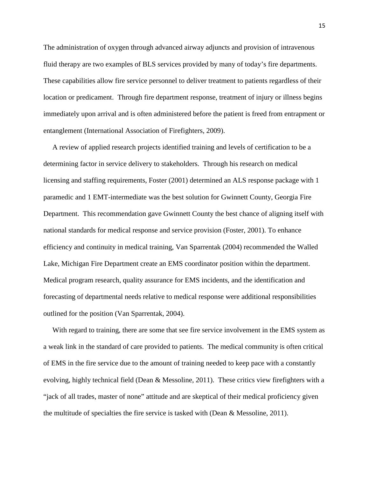The administration of oxygen through advanced airway adjuncts and provision of intravenous fluid therapy are two examples of BLS services provided by many of today's fire departments. These capabilities allow fire service personnel to deliver treatment to patients regardless of their location or predicament. Through fire department response, treatment of injury or illness begins immediately upon arrival and is often administered before the patient is freed from entrapment or entanglement (International Association of Firefighters, 2009).

 A review of applied research projects identified training and levels of certification to be a determining factor in service delivery to stakeholders. Through his research on medical licensing and staffing requirements, Foster (2001) determined an ALS response package with 1 paramedic and 1 EMT-intermediate was the best solution for Gwinnett County, Georgia Fire Department. This recommendation gave Gwinnett County the best chance of aligning itself with national standards for medical response and service provision (Foster, 2001). To enhance efficiency and continuity in medical training, Van Sparrentak (2004) recommended the Walled Lake, Michigan Fire Department create an EMS coordinator position within the department. Medical program research, quality assurance for EMS incidents, and the identification and forecasting of departmental needs relative to medical response were additional responsibilities outlined for the position (Van Sparrentak, 2004).

With regard to training, there are some that see fire service involvement in the EMS system as a weak link in the standard of care provided to patients. The medical community is often critical of EMS in the fire service due to the amount of training needed to keep pace with a constantly evolving, highly technical field (Dean & Messoline, 2011). These critics view firefighters with a "jack of all trades, master of none" attitude and are skeptical of their medical proficiency given the multitude of specialties the fire service is tasked with (Dean  $\&$  Messoline, 2011).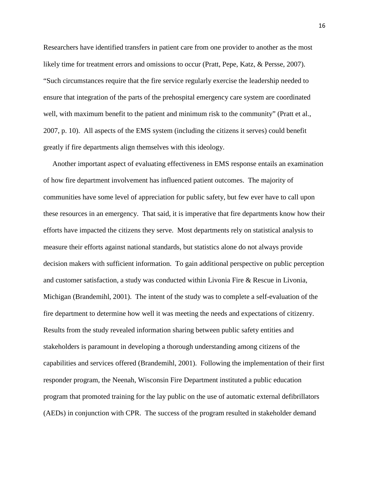Researchers have identified transfers in patient care from one provider to another as the most likely time for treatment errors and omissions to occur (Pratt, Pepe, Katz, & Persse, 2007). "Such circumstances require that the fire service regularly exercise the leadership needed to ensure that integration of the parts of the prehospital emergency care system are coordinated well, with maximum benefit to the patient and minimum risk to the community" (Pratt et al., 2007, p. 10). All aspects of the EMS system (including the citizens it serves) could benefit greatly if fire departments align themselves with this ideology.

 Another important aspect of evaluating effectiveness in EMS response entails an examination of how fire department involvement has influenced patient outcomes. The majority of communities have some level of appreciation for public safety, but few ever have to call upon these resources in an emergency. That said, it is imperative that fire departments know how their efforts have impacted the citizens they serve. Most departments rely on statistical analysis to measure their efforts against national standards, but statistics alone do not always provide decision makers with sufficient information. To gain additional perspective on public perception and customer satisfaction, a study was conducted within Livonia Fire & Rescue in Livonia, Michigan (Brandemihl, 2001). The intent of the study was to complete a self-evaluation of the fire department to determine how well it was meeting the needs and expectations of citizenry. Results from the study revealed information sharing between public safety entities and stakeholders is paramount in developing a thorough understanding among citizens of the capabilities and services offered (Brandemihl, 2001). Following the implementation of their first responder program, the Neenah, Wisconsin Fire Department instituted a public education program that promoted training for the lay public on the use of automatic external defibrillators (AEDs) in conjunction with CPR. The success of the program resulted in stakeholder demand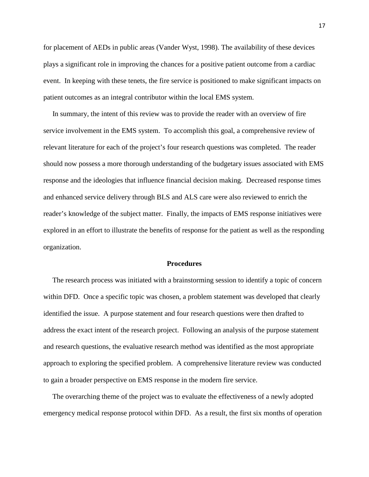for placement of AEDs in public areas (Vander Wyst, 1998). The availability of these devices plays a significant role in improving the chances for a positive patient outcome from a cardiac event. In keeping with these tenets, the fire service is positioned to make significant impacts on patient outcomes as an integral contributor within the local EMS system.

 In summary, the intent of this review was to provide the reader with an overview of fire service involvement in the EMS system. To accomplish this goal, a comprehensive review of relevant literature for each of the project's four research questions was completed. The reader should now possess a more thorough understanding of the budgetary issues associated with EMS response and the ideologies that influence financial decision making. Decreased response times and enhanced service delivery through BLS and ALS care were also reviewed to enrich the reader's knowledge of the subject matter. Finally, the impacts of EMS response initiatives were explored in an effort to illustrate the benefits of response for the patient as well as the responding organization.

### **Procedures**

 The research process was initiated with a brainstorming session to identify a topic of concern within DFD. Once a specific topic was chosen, a problem statement was developed that clearly identified the issue. A purpose statement and four research questions were then drafted to address the exact intent of the research project. Following an analysis of the purpose statement and research questions, the evaluative research method was identified as the most appropriate approach to exploring the specified problem. A comprehensive literature review was conducted to gain a broader perspective on EMS response in the modern fire service.

 The overarching theme of the project was to evaluate the effectiveness of a newly adopted emergency medical response protocol within DFD. As a result, the first six months of operation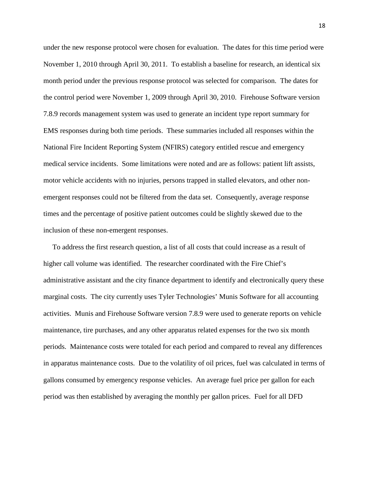under the new response protocol were chosen for evaluation. The dates for this time period were November 1, 2010 through April 30, 2011. To establish a baseline for research, an identical six month period under the previous response protocol was selected for comparison. The dates for the control period were November 1, 2009 through April 30, 2010. Firehouse Software version 7.8.9 records management system was used to generate an incident type report summary for EMS responses during both time periods. These summaries included all responses within the National Fire Incident Reporting System (NFIRS) category entitled rescue and emergency medical service incidents. Some limitations were noted and are as follows: patient lift assists, motor vehicle accidents with no injuries, persons trapped in stalled elevators, and other nonemergent responses could not be filtered from the data set. Consequently, average response times and the percentage of positive patient outcomes could be slightly skewed due to the inclusion of these non-emergent responses.

 To address the first research question, a list of all costs that could increase as a result of higher call volume was identified. The researcher coordinated with the Fire Chief's administrative assistant and the city finance department to identify and electronically query these marginal costs. The city currently uses Tyler Technologies' Munis Software for all accounting activities. Munis and Firehouse Software version 7.8.9 were used to generate reports on vehicle maintenance, tire purchases, and any other apparatus related expenses for the two six month periods. Maintenance costs were totaled for each period and compared to reveal any differences in apparatus maintenance costs. Due to the volatility of oil prices, fuel was calculated in terms of gallons consumed by emergency response vehicles. An average fuel price per gallon for each period was then established by averaging the monthly per gallon prices. Fuel for all DFD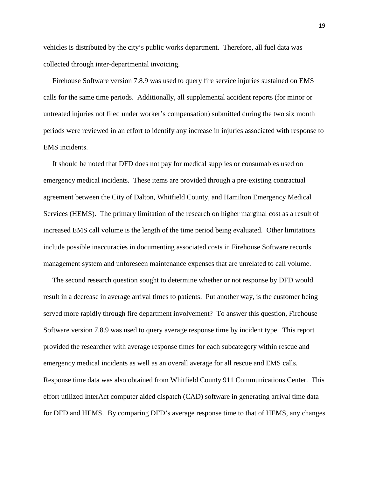vehicles is distributed by the city's public works department. Therefore, all fuel data was collected through inter-departmental invoicing.

 Firehouse Software version 7.8.9 was used to query fire service injuries sustained on EMS calls for the same time periods. Additionally, all supplemental accident reports (for minor or untreated injuries not filed under worker's compensation) submitted during the two six month periods were reviewed in an effort to identify any increase in injuries associated with response to EMS incidents.

 It should be noted that DFD does not pay for medical supplies or consumables used on emergency medical incidents. These items are provided through a pre-existing contractual agreement between the City of Dalton, Whitfield County, and Hamilton Emergency Medical Services (HEMS). The primary limitation of the research on higher marginal cost as a result of increased EMS call volume is the length of the time period being evaluated. Other limitations include possible inaccuracies in documenting associated costs in Firehouse Software records management system and unforeseen maintenance expenses that are unrelated to call volume.

 The second research question sought to determine whether or not response by DFD would result in a decrease in average arrival times to patients. Put another way, is the customer being served more rapidly through fire department involvement? To answer this question, Firehouse Software version 7.8.9 was used to query average response time by incident type. This report provided the researcher with average response times for each subcategory within rescue and emergency medical incidents as well as an overall average for all rescue and EMS calls. Response time data was also obtained from Whitfield County 911 Communications Center. This effort utilized InterAct computer aided dispatch (CAD) software in generating arrival time data for DFD and HEMS. By comparing DFD's average response time to that of HEMS, any changes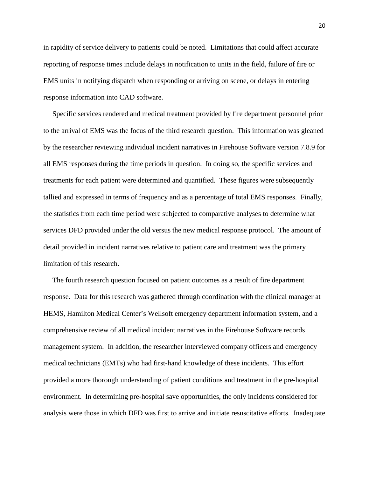in rapidity of service delivery to patients could be noted. Limitations that could affect accurate reporting of response times include delays in notification to units in the field, failure of fire or EMS units in notifying dispatch when responding or arriving on scene, or delays in entering response information into CAD software.

 Specific services rendered and medical treatment provided by fire department personnel prior to the arrival of EMS was the focus of the third research question. This information was gleaned by the researcher reviewing individual incident narratives in Firehouse Software version 7.8.9 for all EMS responses during the time periods in question. In doing so, the specific services and treatments for each patient were determined and quantified. These figures were subsequently tallied and expressed in terms of frequency and as a percentage of total EMS responses. Finally, the statistics from each time period were subjected to comparative analyses to determine what services DFD provided under the old versus the new medical response protocol. The amount of detail provided in incident narratives relative to patient care and treatment was the primary limitation of this research.

 The fourth research question focused on patient outcomes as a result of fire department response. Data for this research was gathered through coordination with the clinical manager at HEMS, Hamilton Medical Center's Wellsoft emergency department information system, and a comprehensive review of all medical incident narratives in the Firehouse Software records management system. In addition, the researcher interviewed company officers and emergency medical technicians (EMTs) who had first-hand knowledge of these incidents. This effort provided a more thorough understanding of patient conditions and treatment in the pre-hospital environment. In determining pre-hospital save opportunities, the only incidents considered for analysis were those in which DFD was first to arrive and initiate resuscitative efforts. Inadequate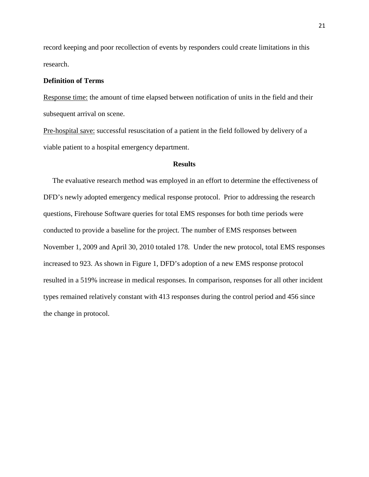record keeping and poor recollection of events by responders could create limitations in this research.

# **Definition of Terms**

Response time: the amount of time elapsed between notification of units in the field and their subsequent arrival on scene.

Pre-hospital save: successful resuscitation of a patient in the field followed by delivery of a viable patient to a hospital emergency department.

# **Results**

 The evaluative research method was employed in an effort to determine the effectiveness of DFD's newly adopted emergency medical response protocol. Prior to addressing the research questions, Firehouse Software queries for total EMS responses for both time periods were conducted to provide a baseline for the project. The number of EMS responses between November 1, 2009 and April 30, 2010 totaled 178. Under the new protocol, total EMS responses increased to 923. As shown in Figure 1, DFD's adoption of a new EMS response protocol resulted in a 519% increase in medical responses. In comparison, responses for all other incident types remained relatively constant with 413 responses during the control period and 456 since the change in protocol.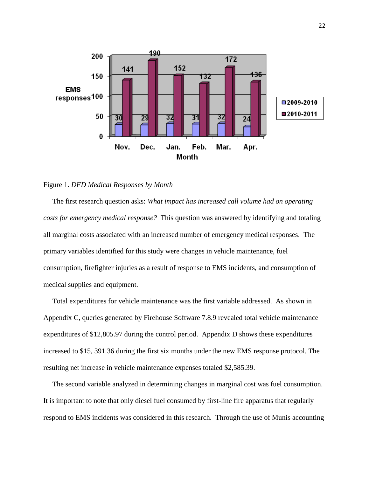

#### Figure 1. *DFD Medical Responses by Month*

 The first research question asks: *What impact has increased call volume had on operating costs for emergency medical response?* This question was answered by identifying and totaling all marginal costs associated with an increased number of emergency medical responses. The primary variables identified for this study were changes in vehicle maintenance, fuel consumption, firefighter injuries as a result of response to EMS incidents, and consumption of medical supplies and equipment.

 Total expenditures for vehicle maintenance was the first variable addressed. As shown in Appendix C, queries generated by Firehouse Software 7.8.9 revealed total vehicle maintenance expenditures of \$12,805.97 during the control period. Appendix D shows these expenditures increased to \$15, 391.36 during the first six months under the new EMS response protocol. The resulting net increase in vehicle maintenance expenses totaled \$2,585.39.

 The second variable analyzed in determining changes in marginal cost was fuel consumption. It is important to note that only diesel fuel consumed by first-line fire apparatus that regularly respond to EMS incidents was considered in this research. Through the use of Munis accounting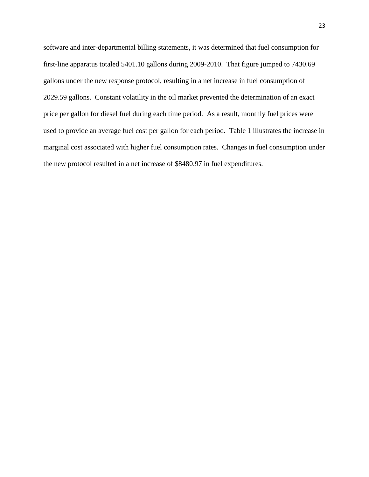software and inter-departmental billing statements, it was determined that fuel consumption for first-line apparatus totaled 5401.10 gallons during 2009-2010. That figure jumped to 7430.69 gallons under the new response protocol, resulting in a net increase in fuel consumption of 2029.59 gallons. Constant volatility in the oil market prevented the determination of an exact price per gallon for diesel fuel during each time period. As a result, monthly fuel prices were used to provide an average fuel cost per gallon for each period. Table 1 illustrates the increase in marginal cost associated with higher fuel consumption rates. Changes in fuel consumption under the new protocol resulted in a net increase of \$8480.97 in fuel expenditures.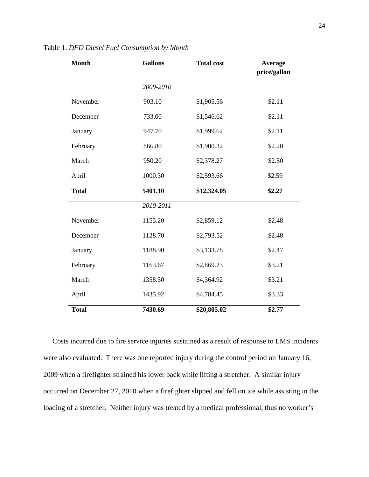| <b>Month</b> | <b>Gallons</b> | <b>Total cost</b> | Average<br>price/gallon |
|--------------|----------------|-------------------|-------------------------|
|              | 2009-2010      |                   |                         |
| November     | 903.10         | \$1,905.56        | \$2.11                  |
| December     | 733.00         | \$1,546.62        | \$2.11                  |
| January      | 947.70         | \$1,999.62        | \$2.11                  |
| February     | 866.80         | \$1,900.32        | \$2.20                  |
| March        | 950.20         | \$2,378.27        | \$2.50                  |
| April        | 1000.30        | \$2,593.66        | \$2.59                  |
| <b>Total</b> | 5401.10        | \$12,324.05       | \$2.27                  |
|              | 2010-2011      |                   |                         |
| November     | 1155.20        | \$2,859.12        | \$2.48                  |
| December     | 1128.70        | \$2,793.52        | \$2.48                  |
| January      | 1188.90        | \$3,133.78        | \$2.47                  |
| February     | 1163.67        | \$2,869.23        | \$3.21                  |
| March        | 1358.30        | \$4,364.92        | \$3.21                  |
| April        | 1435.92        | \$4,784.45        | \$3.33                  |
| <b>Total</b> | 7430.69        | \$20,805.02       | \$2.77                  |

Table 1. *DFD Diesel Fuel Consumption by Month*

 Costs incurred due to fire service injuries sustained as a result of response to EMS incidents were also evaluated. There was one reported injury during the control period on January 16, 2009 when a firefighter strained his lower back while lifting a stretcher. A similar injury occurred on December 27, 2010 when a firefighter slipped and fell on ice while assisting in the loading of a stretcher. Neither injury was treated by a medical professional, thus no worker's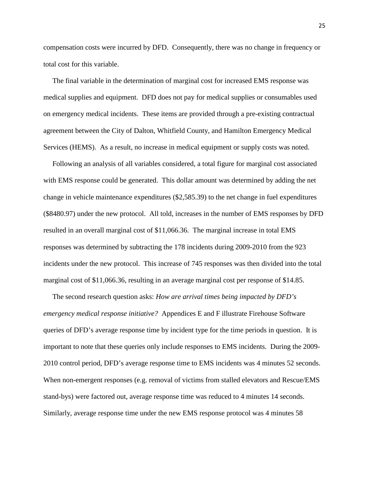compensation costs were incurred by DFD. Consequently, there was no change in frequency or total cost for this variable.

 The final variable in the determination of marginal cost for increased EMS response was medical supplies and equipment. DFD does not pay for medical supplies or consumables used on emergency medical incidents. These items are provided through a pre-existing contractual agreement between the City of Dalton, Whitfield County, and Hamilton Emergency Medical Services (HEMS). As a result, no increase in medical equipment or supply costs was noted.

 Following an analysis of all variables considered, a total figure for marginal cost associated with EMS response could be generated. This dollar amount was determined by adding the net change in vehicle maintenance expenditures (\$2,585.39) to the net change in fuel expenditures (\$8480.97) under the new protocol. All told, increases in the number of EMS responses by DFD resulted in an overall marginal cost of \$11,066.36. The marginal increase in total EMS responses was determined by subtracting the 178 incidents during 2009-2010 from the 923 incidents under the new protocol. This increase of 745 responses was then divided into the total marginal cost of \$11,066.36, resulting in an average marginal cost per response of \$14.85.

 The second research question asks: *How are arrival times being impacted by DFD's emergency medical response initiative?* Appendices E and F illustrate Firehouse Software queries of DFD's average response time by incident type for the time periods in question. It is important to note that these queries only include responses to EMS incidents. During the 2009- 2010 control period, DFD's average response time to EMS incidents was 4 minutes 52 seconds. When non-emergent responses (e.g. removal of victims from stalled elevators and Rescue/EMS stand-bys) were factored out, average response time was reduced to 4 minutes 14 seconds. Similarly, average response time under the new EMS response protocol was 4 minutes 58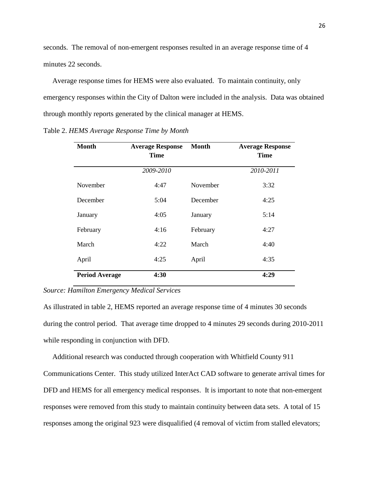seconds. The removal of non-emergent responses resulted in an average response time of 4 minutes 22 seconds.

 Average response times for HEMS were also evaluated. To maintain continuity, only emergency responses within the City of Dalton were included in the analysis. Data was obtained through monthly reports generated by the clinical manager at HEMS.

| <b>Month</b>          | <b>Average Response</b><br><b>Time</b> | <b>Month</b> | <b>Average Response</b><br>Time |
|-----------------------|----------------------------------------|--------------|---------------------------------|
|                       | 2009-2010                              |              | 2010-2011                       |
| November              | 4:47                                   | November     | 3:32                            |
| December              | 5:04                                   | December     | 4:25                            |
| January               | 4:05                                   | January      | 5:14                            |
| February              | 4:16                                   | February     | 4:27                            |
| March                 | 4:22                                   | March        | 4:40                            |
| April                 | 4:25                                   | April        | 4:35                            |
| <b>Period Average</b> | 4:30                                   |              | 4:29                            |

Table 2. *HEMS Average Response Time by Month*

# *Source: Hamilton Emergency Medical Services*

As illustrated in table 2, HEMS reported an average response time of 4 minutes 30 seconds during the control period. That average time dropped to 4 minutes 29 seconds during 2010-2011 while responding in conjunction with DFD.

Additional research was conducted through cooperation with Whitfield County 911

Communications Center. This study utilized InterAct CAD software to generate arrival times for DFD and HEMS for all emergency medical responses. It is important to note that non-emergent responses were removed from this study to maintain continuity between data sets. A total of 15 responses among the original 923 were disqualified (4 removal of victim from stalled elevators;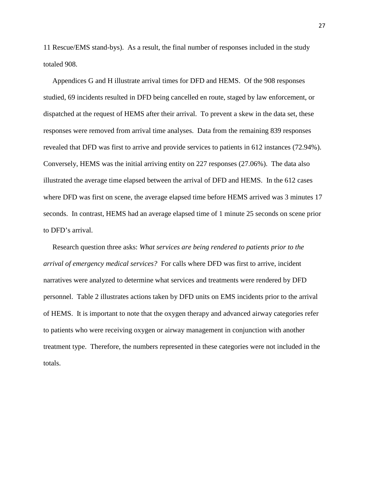11 Rescue/EMS stand-bys). As a result, the final number of responses included in the study totaled 908.

 Appendices G and H illustrate arrival times for DFD and HEMS. Of the 908 responses studied, 69 incidents resulted in DFD being cancelled en route, staged by law enforcement, or dispatched at the request of HEMS after their arrival. To prevent a skew in the data set, these responses were removed from arrival time analyses. Data from the remaining 839 responses revealed that DFD was first to arrive and provide services to patients in 612 instances (72.94%). Conversely, HEMS was the initial arriving entity on 227 responses (27.06%). The data also illustrated the average time elapsed between the arrival of DFD and HEMS. In the 612 cases where DFD was first on scene, the average elapsed time before HEMS arrived was 3 minutes 17 seconds. In contrast, HEMS had an average elapsed time of 1 minute 25 seconds on scene prior to DFD's arrival.

 Research question three asks: *What services are being rendered to patients prior to the arrival of emergency medical services?* For calls where DFD was first to arrive, incident narratives were analyzed to determine what services and treatments were rendered by DFD personnel. Table 2 illustrates actions taken by DFD units on EMS incidents prior to the arrival of HEMS. It is important to note that the oxygen therapy and advanced airway categories refer to patients who were receiving oxygen or airway management in conjunction with another treatment type. Therefore, the numbers represented in these categories were not included in the totals.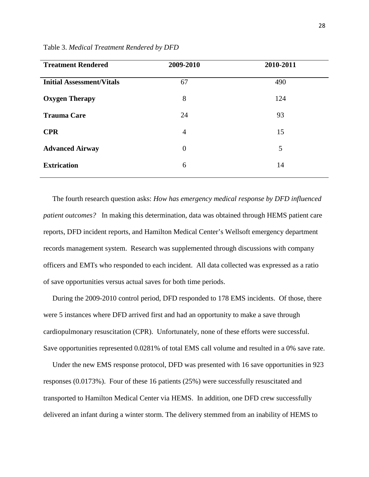| <b>Treatment Rendered</b>        | 2009-2010      | 2010-2011 |
|----------------------------------|----------------|-----------|
| <b>Initial Assessment/Vitals</b> | 67             | 490       |
| <b>Oxygen Therapy</b>            | 8              | 124       |
| <b>Trauma Care</b>               | 24             | 93        |
| <b>CPR</b>                       | $\overline{4}$ | 15        |
| <b>Advanced Airway</b>           | $\theta$       | 5         |
| <b>Extrication</b>               | 6              | 14        |
|                                  |                |           |

Table 3. *Medical Treatment Rendered by DFD*

 The fourth research question asks: *How has emergency medical response by DFD influenced patient outcomes?* In making this determination, data was obtained through HEMS patient care reports, DFD incident reports, and Hamilton Medical Center's Wellsoft emergency department records management system. Research was supplemented through discussions with company officers and EMTs who responded to each incident. All data collected was expressed as a ratio of save opportunities versus actual saves for both time periods.

 During the 2009-2010 control period, DFD responded to 178 EMS incidents. Of those, there were 5 instances where DFD arrived first and had an opportunity to make a save through cardiopulmonary resuscitation (CPR). Unfortunately, none of these efforts were successful. Save opportunities represented 0.0281% of total EMS call volume and resulted in a 0% save rate.

 Under the new EMS response protocol, DFD was presented with 16 save opportunities in 923 responses (0.0173%). Four of these 16 patients (25%) were successfully resuscitated and transported to Hamilton Medical Center via HEMS. In addition, one DFD crew successfully delivered an infant during a winter storm. The delivery stemmed from an inability of HEMS to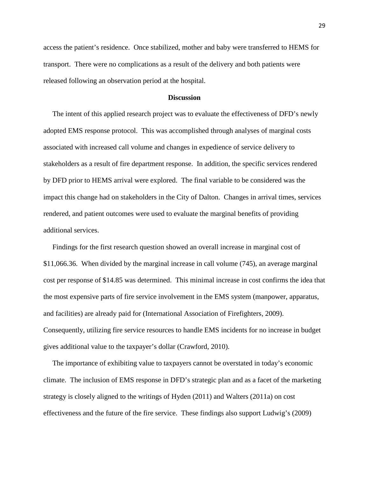access the patient's residence. Once stabilized, mother and baby were transferred to HEMS for transport. There were no complications as a result of the delivery and both patients were released following an observation period at the hospital.

# **Discussion**

 The intent of this applied research project was to evaluate the effectiveness of DFD's newly adopted EMS response protocol. This was accomplished through analyses of marginal costs associated with increased call volume and changes in expedience of service delivery to stakeholders as a result of fire department response. In addition, the specific services rendered by DFD prior to HEMS arrival were explored. The final variable to be considered was the impact this change had on stakeholders in the City of Dalton. Changes in arrival times, services rendered, and patient outcomes were used to evaluate the marginal benefits of providing additional services.

 Findings for the first research question showed an overall increase in marginal cost of \$11,066.36. When divided by the marginal increase in call volume (745), an average marginal cost per response of \$14.85 was determined. This minimal increase in cost confirms the idea that the most expensive parts of fire service involvement in the EMS system (manpower, apparatus, and facilities) are already paid for (International Association of Firefighters, 2009). Consequently, utilizing fire service resources to handle EMS incidents for no increase in budget gives additional value to the taxpayer's dollar (Crawford, 2010).

 The importance of exhibiting value to taxpayers cannot be overstated in today's economic climate. The inclusion of EMS response in DFD's strategic plan and as a facet of the marketing strategy is closely aligned to the writings of Hyden (2011) and Walters (2011a) on cost effectiveness and the future of the fire service. These findings also support Ludwig's (2009)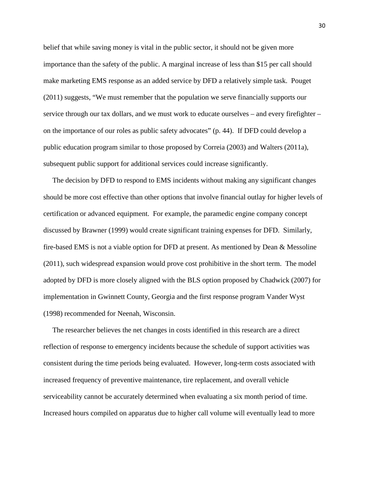belief that while saving money is vital in the public sector, it should not be given more importance than the safety of the public. A marginal increase of less than \$15 per call should make marketing EMS response as an added service by DFD a relatively simple task. Pouget (2011) suggests, "We must remember that the population we serve financially supports our service through our tax dollars, and we must work to educate ourselves – and every firefighter – on the importance of our roles as public safety advocates" (p. 44). If DFD could develop a public education program similar to those proposed by Correia (2003) and Walters (2011a), subsequent public support for additional services could increase significantly.

 The decision by DFD to respond to EMS incidents without making any significant changes should be more cost effective than other options that involve financial outlay for higher levels of certification or advanced equipment. For example, the paramedic engine company concept discussed by Brawner (1999) would create significant training expenses for DFD. Similarly, fire-based EMS is not a viable option for DFD at present. As mentioned by Dean & Messoline (2011), such widespread expansion would prove cost prohibitive in the short term. The model adopted by DFD is more closely aligned with the BLS option proposed by Chadwick (2007) for implementation in Gwinnett County, Georgia and the first response program Vander Wyst (1998) recommended for Neenah, Wisconsin.

 The researcher believes the net changes in costs identified in this research are a direct reflection of response to emergency incidents because the schedule of support activities was consistent during the time periods being evaluated. However, long-term costs associated with increased frequency of preventive maintenance, tire replacement, and overall vehicle serviceability cannot be accurately determined when evaluating a six month period of time. Increased hours compiled on apparatus due to higher call volume will eventually lead to more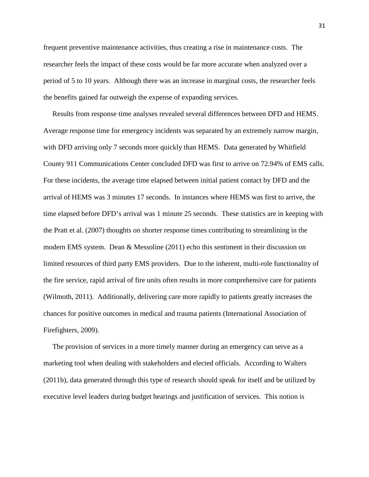frequent preventive maintenance activities, thus creating a rise in maintenance costs. The researcher feels the impact of these costs would be far more accurate when analyzed over a period of 5 to 10 years. Although there was an increase in marginal costs, the researcher feels the benefits gained far outweigh the expense of expanding services.

 Results from response time analyses revealed several differences between DFD and HEMS. Average response time for emergency incidents was separated by an extremely narrow margin, with DFD arriving only 7 seconds more quickly than HEMS. Data generated by Whitfield County 911 Communications Center concluded DFD was first to arrive on 72.94% of EMS calls. For these incidents, the average time elapsed between initial patient contact by DFD and the arrival of HEMS was 3 minutes 17 seconds. In instances where HEMS was first to arrive, the time elapsed before DFD's arrival was 1 minute 25 seconds. These statistics are in keeping with the Pratt et al. (2007) thoughts on shorter response times contributing to streamlining in the modern EMS system. Dean & Messoline (2011) echo this sentiment in their discussion on limited resources of third party EMS providers. Due to the inherent, multi-role functionality of the fire service, rapid arrival of fire units often results in more comprehensive care for patients (Wilmoth, 2011). Additionally, delivering care more rapidly to patients greatly increases the chances for positive outcomes in medical and trauma patients (International Association of Firefighters, 2009).

 The provision of services in a more timely manner during an emergency can serve as a marketing tool when dealing with stakeholders and elected officials. According to Walters (2011b), data generated through this type of research should speak for itself and be utilized by executive level leaders during budget hearings and justification of services. This notion is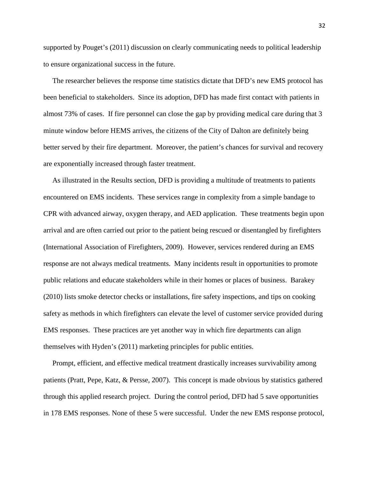supported by Pouget's (2011) discussion on clearly communicating needs to political leadership to ensure organizational success in the future.

 The researcher believes the response time statistics dictate that DFD's new EMS protocol has been beneficial to stakeholders. Since its adoption, DFD has made first contact with patients in almost 73% of cases. If fire personnel can close the gap by providing medical care during that 3 minute window before HEMS arrives, the citizens of the City of Dalton are definitely being better served by their fire department. Moreover, the patient's chances for survival and recovery are exponentially increased through faster treatment.

 As illustrated in the Results section, DFD is providing a multitude of treatments to patients encountered on EMS incidents. These services range in complexity from a simple bandage to CPR with advanced airway, oxygen therapy, and AED application. These treatments begin upon arrival and are often carried out prior to the patient being rescued or disentangled by firefighters (International Association of Firefighters, 2009). However, services rendered during an EMS response are not always medical treatments. Many incidents result in opportunities to promote public relations and educate stakeholders while in their homes or places of business. Barakey (2010) lists smoke detector checks or installations, fire safety inspections, and tips on cooking safety as methods in which firefighters can elevate the level of customer service provided during EMS responses. These practices are yet another way in which fire departments can align themselves with Hyden's (2011) marketing principles for public entities.

 Prompt, efficient, and effective medical treatment drastically increases survivability among patients (Pratt, Pepe, Katz, & Persse, 2007). This concept is made obvious by statistics gathered through this applied research project. During the control period, DFD had 5 save opportunities in 178 EMS responses. None of these 5 were successful. Under the new EMS response protocol,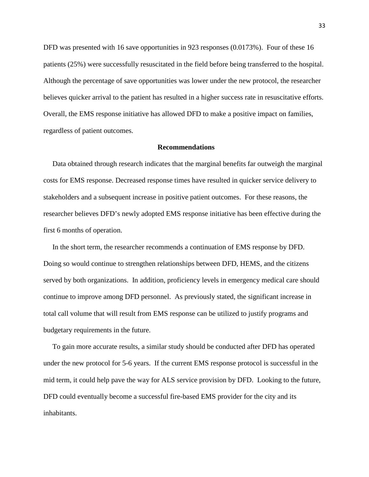DFD was presented with 16 save opportunities in 923 responses (0.0173%). Four of these 16 patients (25%) were successfully resuscitated in the field before being transferred to the hospital. Although the percentage of save opportunities was lower under the new protocol, the researcher believes quicker arrival to the patient has resulted in a higher success rate in resuscitative efforts. Overall, the EMS response initiative has allowed DFD to make a positive impact on families, regardless of patient outcomes.

### **Recommendations**

 Data obtained through research indicates that the marginal benefits far outweigh the marginal costs for EMS response. Decreased response times have resulted in quicker service delivery to stakeholders and a subsequent increase in positive patient outcomes. For these reasons, the researcher believes DFD's newly adopted EMS response initiative has been effective during the first 6 months of operation.

 In the short term, the researcher recommends a continuation of EMS response by DFD. Doing so would continue to strengthen relationships between DFD, HEMS, and the citizens served by both organizations. In addition, proficiency levels in emergency medical care should continue to improve among DFD personnel. As previously stated, the significant increase in total call volume that will result from EMS response can be utilized to justify programs and budgetary requirements in the future.

 To gain more accurate results, a similar study should be conducted after DFD has operated under the new protocol for 5-6 years. If the current EMS response protocol is successful in the mid term, it could help pave the way for ALS service provision by DFD. Looking to the future, DFD could eventually become a successful fire-based EMS provider for the city and its inhabitants.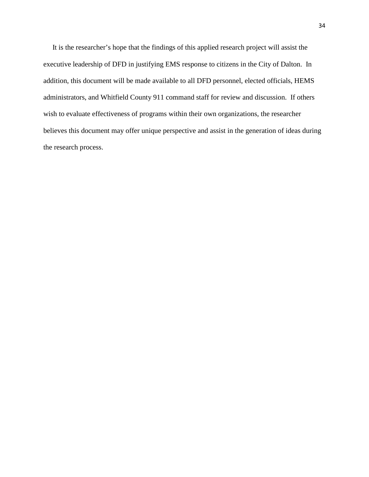It is the researcher's hope that the findings of this applied research project will assist the executive leadership of DFD in justifying EMS response to citizens in the City of Dalton. In addition, this document will be made available to all DFD personnel, elected officials, HEMS administrators, and Whitfield County 911 command staff for review and discussion. If others wish to evaluate effectiveness of programs within their own organizations, the researcher believes this document may offer unique perspective and assist in the generation of ideas during the research process.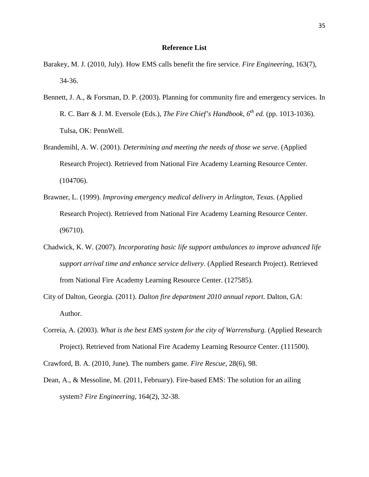# **Reference List**

- Barakey, M. J. (2010, July). How EMS calls benefit the fire service. *Fire Engineering*, 163(7), 34-36.
- Bennett, J. A., & Forsman, D. P. (2003). Planning for community fire and emergency services. In R. C. Barr & J. M. Eversole (Eds.), *The Fire Chief's Handbook, 6th ed.* (pp. 1013-1036). Tulsa, OK: PennWell.
- Brandemihl, A. W. (2001). *Determining and meeting the needs of those we serve.* (Applied Research Project). Retrieved from National Fire Academy Learning Resource Center. (104706).
- Brawner, L. (1999). *Improving emergency medical delivery in Arlington, Texas.* (Applied Research Project). Retrieved from National Fire Academy Learning Resource Center. (96710).
- Chadwick, K. W. (2007). *Incorporating basic life support ambulances to improve advanced life support arrival time and enhance service delivery.* (Applied Research Project). Retrieved from National Fire Academy Learning Resource Center. (127585).
- City of Dalton, Georgia. (2011). *Dalton fire department 2010 annual report*. Dalton, GA: Author.
- Correia, A. (2003). *What is the best EMS system for the city of Warrensburg.* (Applied Research Project). Retrieved from National Fire Academy Learning Resource Center. (111500).
- Crawford, B. A. (2010, June). The numbers game. *Fire Rescue*, 28(6), 98.
- Dean, A., & Messoline, M. (2011, February). Fire-based EMS: The solution for an ailing system? *Fire Engineering*, 164(2), 32-38.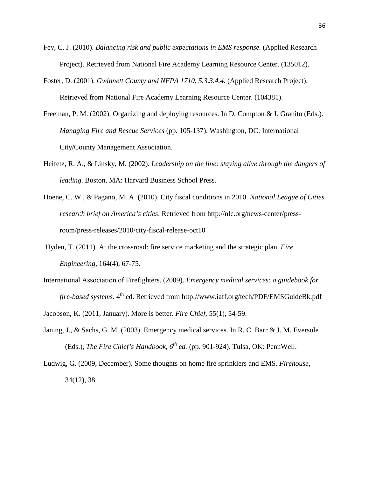- Fey, C. J. (2010). *Balancing risk and public expectations in EMS response.* (Applied Research Project). Retrieved from National Fire Academy Learning Resource Center. (135012).
- Foster, D. (2001). *Gwinnett County and NFPA 1710, 5.3.3.4.4.* (Applied Research Project). Retrieved from National Fire Academy Learning Resource Center. (104381).
- Freeman, P. M. (2002). Organizing and deploying resources. In D. Compton & J. Granito (Eds.). *Managing Fire and Rescue Services* (pp. 105-137). Washington, DC: International City/County Management Association.
- Heifetz, R. A., & Linsky, M. (2002). *Leadership on the line: staying alive through the dangers of leading*. Boston, MA: Harvard Business School Press.
- Hoene, C. W., & Pagano, M. A. (2010). City fiscal conditions in 2010. *National League of Cities research brief on America's cities*. Retrieved from http://nlc.org/news-center/pressroom/press-releases/2010/city-fiscal-release-oct10
- Hyden, T. (2011). At the crossroad: fire service marketing and the strategic plan. *Fire Engineering*, 164(4), 67-75.
- International Association of Firefighters. (2009). *Emergency medical services: a guidebook for fire-based systems*. 4<sup>th</sup> ed. Retrieved from http://www.iaff.org/tech/PDF/EMSGuideBk.pdf
- Jacobson, K. (2011, January). More is better. *Fire Chief*, 55(1), 54-59.
- Janing, J., & Sachs, G. M. (2003). Emergency medical services. In R. C. Barr & J. M. Eversole (Eds.), *The Fire Chief's Handbook,*  $6^{th}$  *ed.* (pp. 901-924). Tulsa, OK: PennWell.
- Ludwig, G. (2009, December). Some thoughts on home fire sprinklers and EMS. *Firehouse*, 34(12), 38.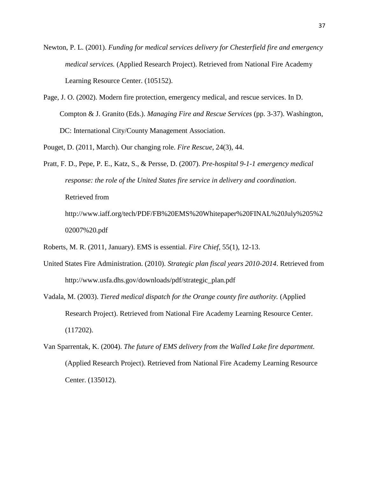Newton, P. L. (2001). *Funding for medical services delivery for Chesterfield fire and emergency medical services.* (Applied Research Project). Retrieved from National Fire Academy Learning Resource Center. (105152).

Page, J. O. (2002). Modern fire protection, emergency medical, and rescue services. In D. Compton & J. Granito (Eds.). *Managing Fire and Rescue Services* (pp. 3-37). Washington, DC: International City/County Management Association.

Pouget, D. (2011, March). Our changing role. *Fire Rescue*, 24(3), 44.

Pratt, F. D., Pepe, P. E., Katz, S., & Persse, D. (2007). *Pre-hospital 9-1-1 emergency medical response: the role of the United States fire service in delivery and coordination*. Retrieved from http://www.iaff.org/tech/PDF/FB%20EMS%20Whitepaper%20FINAL%20July%205%2 02007%20.pdf

Roberts, M. R. (2011, January). EMS is essential. *Fire Chief*, 55(1), 12-13.

- United States Fire Administration. (2010). *Strategic plan fiscal years 2010-2014*. Retrieved from http://www.usfa.dhs.gov/downloads/pdf/strategic\_plan.pdf
- Vadala, M. (2003). *Tiered medical dispatch for the Orange county fire authority.* (Applied Research Project). Retrieved from National Fire Academy Learning Resource Center. (117202).
- Van Sparrentak, K. (2004). *The future of EMS delivery from the Walled Lake fire department.* (Applied Research Project). Retrieved from National Fire Academy Learning Resource Center. (135012).